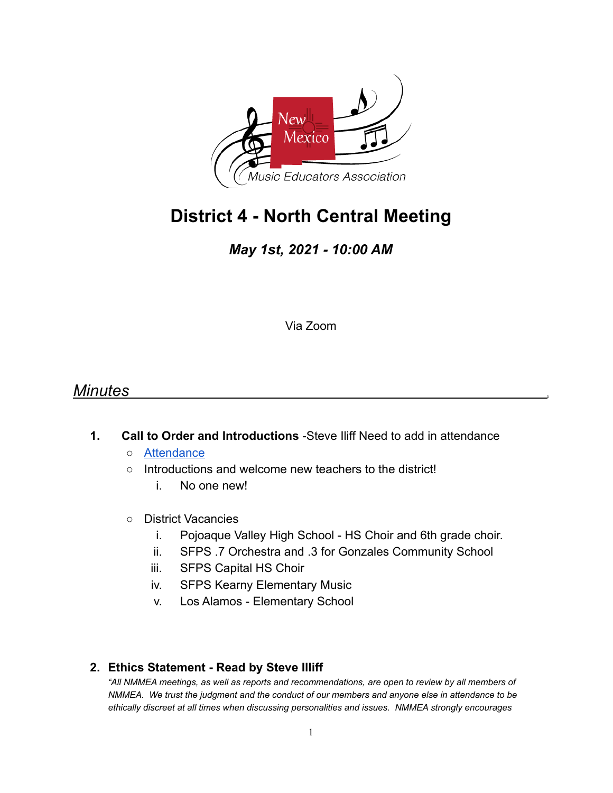

# **District 4 - North Central Meeting**

*May 1st, 2021 - 10:00 AM*

Via Zoom

# *Minutes* .

- **1. Call to Order and Introductions** -Steve Iliff Need to add in attendance
	- Attendance
	- Introductions and welcome new teachers to the district!
		- i. No one new!
	- District Vacancies
		- i. Pojoaque Valley High School HS Choir and 6th grade choir.
		- ii. SFPS .7 Orchestra and .3 for Gonzales Community School
		- iii. SFPS Capital HS Choir
		- iv. SFPS Kearny Elementary Music
		- v. Los Alamos Elementary School

#### **2. Ethics Statement - Read by Steve Illiff**

*"All NMMEA meetings, as well as reports and recommendations, are open to review by all members of NMMEA. We trust the judgment and the conduct of our members and anyone else in attendance to be ethically discreet at all times when discussing personalities and issues. NMMEA strongly encourages*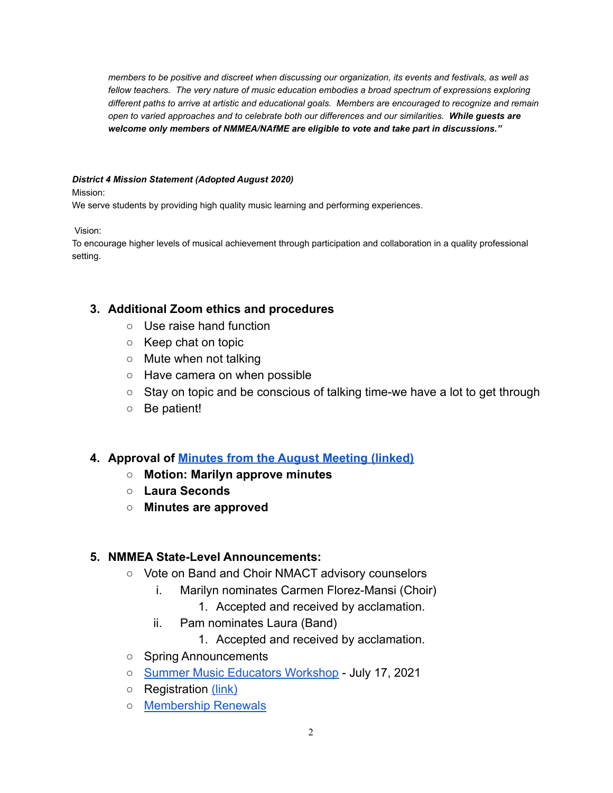*members to be positive and discreet when discussing our organization, its events and festivals, as well as fellow teachers. The very nature of music education embodies a broad spectrum of expressions exploring different paths to arrive at artistic and educational goals. Members are encouraged to recognize and remain open to varied approaches and to celebrate both our differences and our similarities. While guests are welcome only members of NMMEA/NAfME are eligible to vote and take part in discussions."*

#### *District 4 Mission Statement (Adopted August 2020)*

Mission:

We serve students by providing high quality music learning and performing experiences.

Vision:

To encourage higher levels of musical achievement through participation and collaboration in a quality professional setting.

#### **3. Additional Zoom ethics and procedures**

- Use raise hand function
- Keep chat on topic
- Mute when not talking
- Have camera on when possible
- Stay on topic and be conscious of talking time-we have a lot to get through
- Be patient!

#### **4. Approval of Minutes from the August Meeting (linked)**

- **○ Motion: Marilyn approve minutes**
- **○ Laura Seconds**
- **○ Minutes are approved**

#### **5. NMMEA State-Level Announcements:**

- Vote on Band and Choir NMACT advisory counselors
	- i. Marilyn nominates Carmen Florez-Mansi (Choir)
		- 1. Accepted and received by acclamation.
	- ii. Pam nominates Laura (Band)
		- 1. Accepted and received by acclamation.
- Spring Announcements
- Summer Music Educators Workshop July 17, 2021
- Registration (link)
- Membership Renewals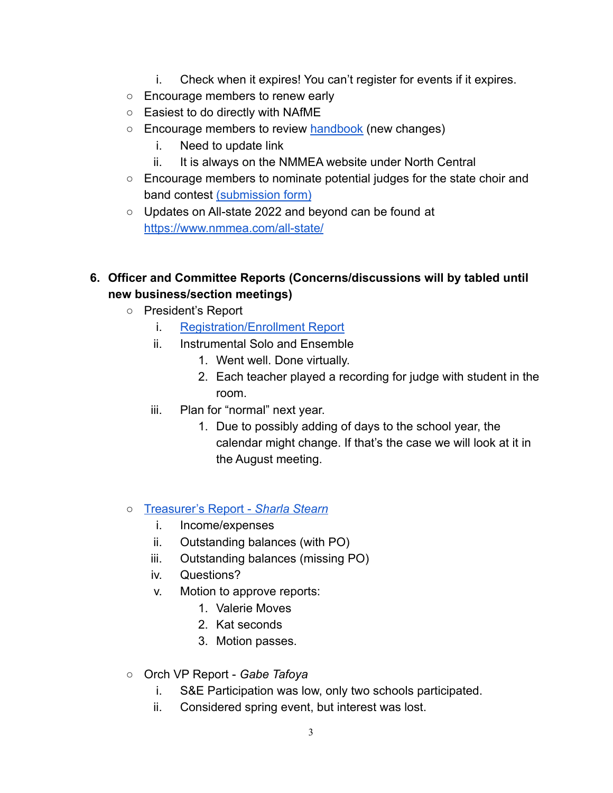- i. Check when it expires! You can't register for events if it expires.
- Encourage members to renew early
- Easiest to do directly with NAfME
- Encourage members to review handbook (new changes)
	- i. Need to update link
	- ii. It is always on the NMMEA website under North Central
- Encourage members to nominate potential judges for the state choir and band contest (submission form)
- Updates on All-state 2022 and beyond can be found at https://www.nmmea.com/all-state/
- **6. Officer and Committee Reports (Concerns/discussions will by tabled until new business/section meetings)**
	- President's Report
		- i. Registration/Enrollment Report
		- ii. Instrumental Solo and Ensemble
			- 1. Went well. Done virtually.
			- 2. Each teacher played a recording for judge with student in the room.
		- iii. Plan for "normal" next year.
			- 1. Due to possibly adding of days to the school year, the calendar might change. If that's the case we will look at it in the August meeting.
	- Treasurer's Report *Sharla Stearn*
		- i. Income/expenses
		- ii. Outstanding balances (with PO)
		- iii. Outstanding balances (missing PO)
		- iv. Questions?
		- v. Motion to approve reports:
			- 1. Valerie Moves
			- 2. Kat seconds
			- 3. Motion passes.
	- Orch VP Report *Gabe Tafoya*
		- i. S&E Participation was low, only two schools participated.
		- ii. Considered spring event, but interest was lost.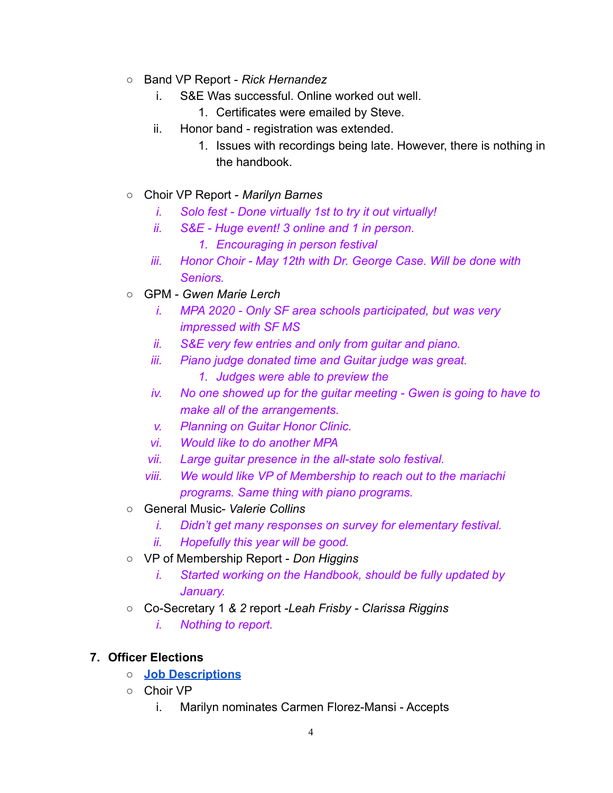- Band VP Report *Rick Hernandez*
	- i. S&E Was successful. Online worked out well.
		- 1. Certificates were emailed by Steve.
	- ii. Honor band registration was extended.
		- 1. Issues with recordings being late. However, there is nothing in the handbook.
- Choir VP Report *Marilyn Barnes*
	- *i. Solo fest Done virtually 1st to try it out virtually!*
	- *ii. S&E Huge event! 3 online and 1 in person.*
		- *1. Encouraging in person festival*
	- *iii. Honor Choir May 12th with Dr. George Case. Will be done with Seniors.*
- GPM *Gwen Marie Lerch*
	- *i. MPA 2020 Only SF area schools participated, but was very impressed with SF MS*
	- *ii. S&E very few entries and only from guitar and piano.*
	- *iii. Piano judge donated time and Guitar judge was great.*
		- *1. Judges were able to preview the*
	- *iv. No one showed up for the guitar meeting Gwen is going to have to make all of the arrangements.*
	- *v. Planning on Guitar Honor Clinic.*
	- *vi. Would like to do another MPA*
	- *vii. Large guitar presence in the all-state solo festival.*
	- *viii. We would like VP of Membership to reach out to the mariachi programs. Same thing with piano programs.*
- General Music- *Valerie Collins*
	- *i. Didn't get many responses on survey for elementary festival.*
	- *ii. Hopefully this year will be good.*
- VP of Membership Report *Don Higgins*
	- *i. Started working on the Handbook, should be fully updated by January.*
- *○* Co-Secretary 1 *& 2* report *-Leah Frisby Clarissa Riggins*
	- *i. Nothing to report.*

# **7. Officer Elections**

- **○ Job Descriptions**
- Choir VP
	- i. Marilyn nominates Carmen Florez-Mansi Accepts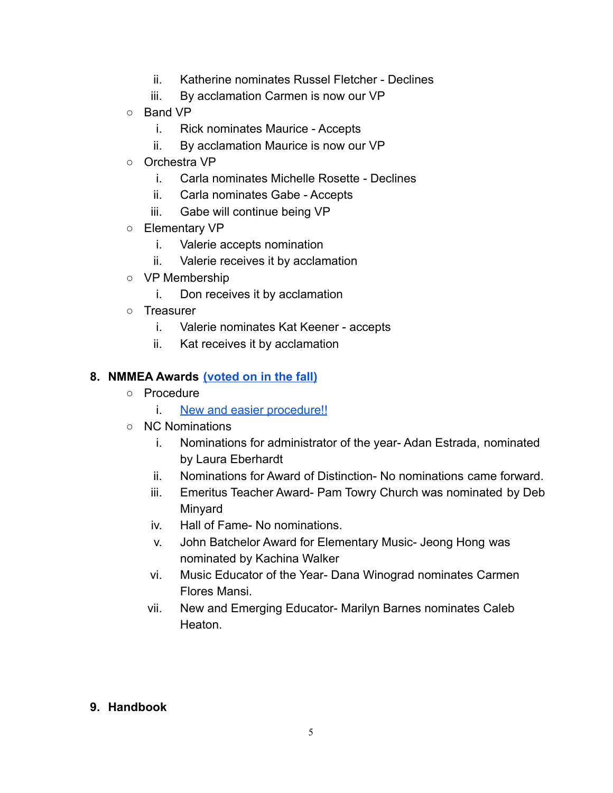- ii. Katherine nominates Russel Fletcher Declines
- iii. By acclamation Carmen is now our VP
- Band VP
	- i. Rick nominates Maurice Accepts
	- ii. By acclamation Maurice is now our VP
- Orchestra VP
	- i. Carla nominates Michelle Rosette Declines
	- ii. Carla nominates Gabe Accepts
	- iii. Gabe will continue being VP
- Elementary VP
	- i. Valerie accepts nomination
	- ii. Valerie receives it by acclamation
- VP Membership
	- i. Don receives it by acclamation
- Treasurer
	- i. Valerie nominates Kat Keener accepts
	- ii. Kat receives it by acclamation

## **8. NMMEA Awards (voted on in the fall)**

- Procedure
	- i. New and easier procedure!!
- NC Nominations
	- i. Nominations for administrator of the year- Adan Estrada, nominated by Laura Eberhardt
	- ii. Nominations for Award of Distinction- No nominations came forward.
	- iii. Emeritus Teacher Award- Pam Towry Church was nominated by Deb Minyard
	- iv. Hall of Fame- No nominations.
	- v. John Batchelor Award for Elementary Music- Jeong Hong was nominated by Kachina Walker
	- vi. Music Educator of the Year- Dana Winograd nominates Carmen Flores Mansi.
	- vii. New and Emerging Educator- Marilyn Barnes nominates Caleb **Heaton**

#### **9. Handbook**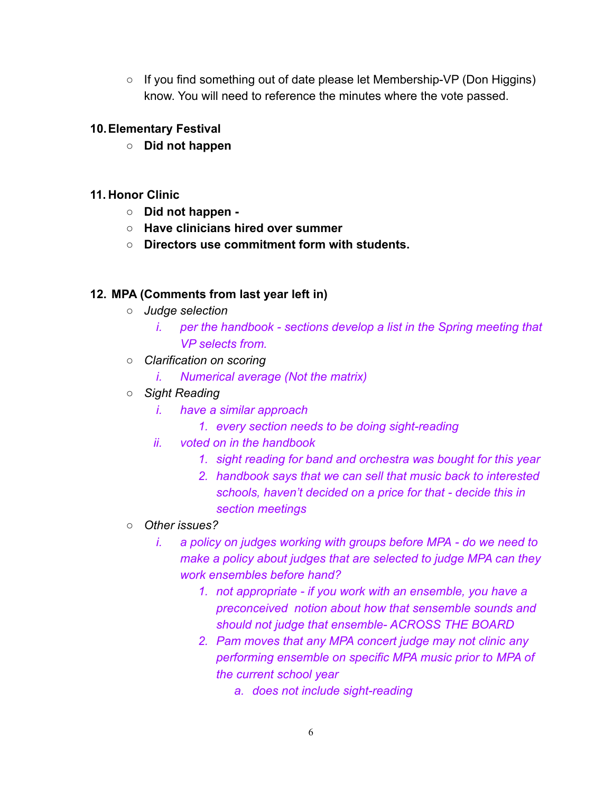$\circ$  If you find something out of date please let Membership-VP (Don Higgins) know. You will need to reference the minutes where the vote passed.

#### **10.Elementary Festival**

**○ Did not happen**

#### **11. Honor Clinic**

- **○ Did not happen -**
- **○ Have clinicians hired over summer**
- **○ Directors use commitment form with students.**

#### **12. MPA (Comments from last year left in)**

- *○ Judge selection*
	- *i. per the handbook sections develop a list in the Spring meeting that VP selects from.*
- *○ Clarification on scoring*
	- *i. Numerical average (Not the matrix)*
- *○ Sight Reading*
	- *i. have a similar approach*
		- *1. every section needs to be doing sight-reading*
	- *ii. voted on in the handbook*
		- *1. sight reading for band and orchestra was bought for this year*
		- *2. handbook says that we can sell that music back to interested schools, haven't decided on a price for that - decide this in section meetings*
- *○ Other issues?*
	- *i. a policy on judges working with groups before MPA do we need to make a policy about judges that are selected to judge MPA can they work ensembles before hand?*
		- *1. not appropriate if you work with an ensemble, you have a preconceived notion about how that sensemble sounds and should not judge that ensemble- ACROSS THE BOARD*
		- *2. Pam moves that any MPA concert judge may not clinic any performing ensemble on specific MPA music prior to MPA of the current school year*
			- *a. does not include sight-reading*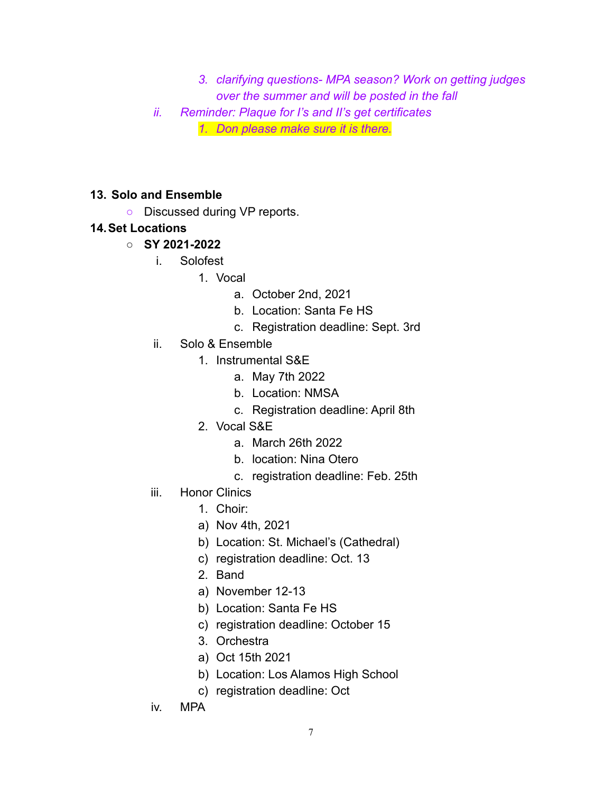- *3. clarifying questions- MPA season? Work on getting judges over the summer and will be posted in the fall*
- *ii. Reminder: Plaque for I's and II's get certificates*

*1. Don please make sure it is there.*

#### **13. Solo and Ensemble**

○ Discussed during VP reports.

#### **14.Set Locations**

#### **○ SY 2021-2022**

- i. Solofest
	- 1. Vocal
		- a. October 2nd, 2021
		- b. Location: Santa Fe HS
		- c. Registration deadline: Sept. 3rd
- ii. Solo & Ensemble
	- 1. Instrumental S&E
		- a. May 7th 2022
			- b. Location: NMSA
			- c. Registration deadline: April 8th
	- 2. Vocal S&E
		- a. March 26th 2022
		- b. location: Nina Otero
		- c. registration deadline: Feb. 25th
- iii. Honor Clinics
	- 1. Choir:
	- a) Nov 4th, 2021
	- b) Location: St. Michael's (Cathedral)
	- c) registration deadline: Oct. 13
	- 2. Band
	- a) November 12-13
	- b) Location: Santa Fe HS
	- c) registration deadline: October 15
	- 3. Orchestra
	- a) Oct 15th 2021
	- b) Location: Los Alamos High School
	- c) registration deadline: Oct
- iv. MPA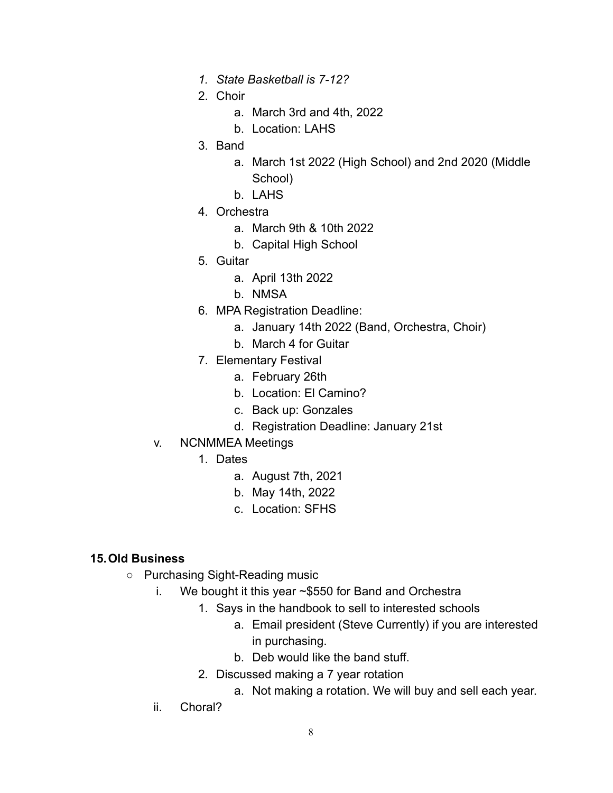- *1. State Basketball is 7-12?*
- 2. Choir
	- a. March 3rd and 4th, 2022
	- b. Location: LAHS
- 3. Band
	- a. March 1st 2022 (High School) and 2nd 2020 (Middle School)
	- b. LAHS
- 4. Orchestra
	- a. March 9th & 10th 2022
	- b. Capital High School
- 5. Guitar
	- a. April 13th 2022
	- b. NMSA
- 6. MPA Registration Deadline:
	- a. January 14th 2022 (Band, Orchestra, Choir)
	- b. March 4 for Guitar
- 7. Elementary Festival
	- a. February 26th
	- b. Location: El Camino?
	- c. Back up: Gonzales
	- d. Registration Deadline: January 21st
- v. NCNMMEA Meetings
	- 1. Dates
		- a. August 7th, 2021
		- b. May 14th, 2022
		- c. Location: SFHS

#### **15.Old Business**

- Purchasing Sight-Reading music
	- i. We bought it this year ~\$550 for Band and Orchestra
		- 1. Says in the handbook to sell to interested schools
			- a. Email president (Steve Currently) if you are interested in purchasing.
			- b. Deb would like the band stuff.
			- 2. Discussed making a 7 year rotation
				- a. Not making a rotation. We will buy and sell each year.
	- ii. Choral?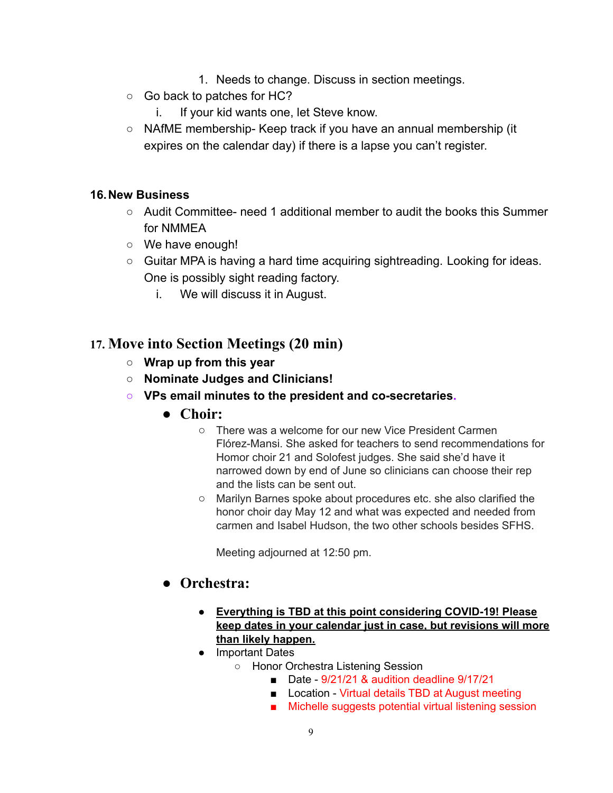- 1. Needs to change. Discuss in section meetings.
- Go back to patches for HC?
	- i. If your kid wants one, let Steve know.
- $\circ$  NAfME membership- Keep track if you have an annual membership (it expires on the calendar day) if there is a lapse you can't register.

#### **16.New Business**

- Audit Committee- need 1 additional member to audit the books this Summer for NMMEA
- We have enough!
- Guitar MPA is having a hard time acquiring sightreading. Looking for ideas. One is possibly sight reading factory.
	- i. We will discuss it in August.

## **17. Move into Section Meetings (20 min)**

- **○ Wrap up from this year**
- **○ Nominate Judges and Clinicians!**
- **○ VPs email minutes to the president and co-secretaries.**
	- **● Choir:**
		- There was a welcome for our new Vice President Carmen Flórez-Mansi. She asked for teachers to send recommendations for Homor choir 21 and Solofest judges. She said she'd have it narrowed down by end of June so clinicians can choose their rep and the lists can be sent out.
		- Marilyn Barnes spoke about procedures etc. she also clarified the honor choir day May 12 and what was expected and needed from carmen and Isabel Hudson, the two other schools besides SFHS.

Meeting adjourned at 12:50 pm.

## **● Orchestra:**

- **● Everything is TBD at this point considering COVID-19! Please keep dates in your calendar just in case, but revisions will more than likely happen.**
- Important Dates
	- Honor Orchestra Listening Session
		- Date 9/21/21 & audition deadline 9/17/21
		- Location Virtual details TBD at August meeting
		- Michelle suggests potential virtual listening session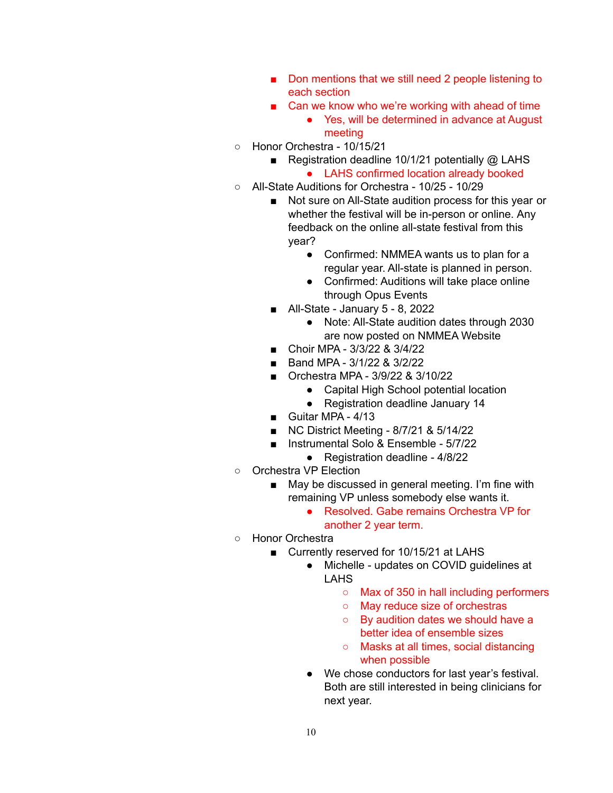- Don mentions that we still need 2 people listening to each section
- Can we know who we're working with ahead of time
	- Yes, will be determined in advance at August meeting
- Honor Orchestra 10/15/21
	- Registration deadline 10/1/21 potentially @ LAHS
		- LAHS confirmed location already booked
- All-State Auditions for Orchestra 10/25 10/29
	- Not sure on All-State audition process for this year or whether the festival will be in-person or online. Any feedback on the online all-state festival from this year?
		- Confirmed: NMMEA wants us to plan for a regular year. All-state is planned in person.
		- Confirmed: Auditions will take place online through Opus Events
	- All-State January 5 8, 2022
		- Note: All-State audition dates through 2030 are now posted on NMMEA Website
	- Choir MPA 3/3/22 & 3/4/22
	- Band MPA 3/1/22 & 3/2/22
	- Orchestra MPA 3/9/22 & 3/10/22
		- Capital High School potential location
		- Registration deadline January 14
	- Guitar MPA 4/13
	- NC District Meeting 8/7/21 & 5/14/22
	- Instrumental Solo & Ensemble 5/7/22
		- Registration deadline 4/8/22
- Orchestra VP Election
	- May be discussed in general meeting. I'm fine with remaining VP unless somebody else wants it.
		- Resolved. Gabe remains Orchestra VP for another 2 year term.
- Honor Orchestra
	- Currently reserved for 10/15/21 at LAHS
		- Michelle updates on COVID guidelines at LAHS
			- Max of 350 in hall including performers
			- May reduce size of orchestras
			- By audition dates we should have a better idea of ensemble sizes
			- Masks at all times, social distancing when possible
		- We chose conductors for last year's festival. Both are still interested in being clinicians for next year.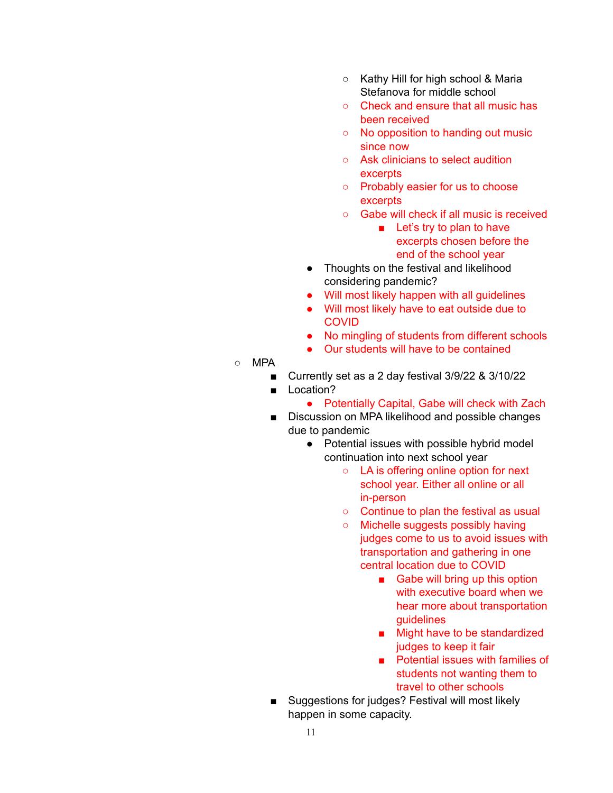- Kathy Hill for high school & Maria Stefanova for middle school
- Check and ensure that all music has been received
- No opposition to handing out music since now
- Ask clinicians to select audition excerpts
- Probably easier for us to choose **excerpts**
- Gabe will check if all music is received
	- Let's try to plan to have excerpts chosen before the end of the school year
- Thoughts on the festival and likelihood considering pandemic?
- Will most likely happen with all guidelines
- Will most likely have to eat outside due to **COVID**
- No mingling of students from different schools
- Our students will have to be contained
- $\circ$  MPA
	- Currently set as a 2 day festival 3/9/22 & 3/10/22
	- Location?
		- Potentially Capital, Gabe will check with Zach
	- Discussion on MPA likelihood and possible changes due to pandemic
		- Potential issues with possible hybrid model continuation into next school year
			- LA is offering online option for next school year. Either all online or all in-person
			- Continue to plan the festival as usual
			- Michelle suggests possibly having judges come to us to avoid issues with transportation and gathering in one central location due to COVID
				- Gabe will bring up this option with executive board when we hear more about transportation guidelines
				- Might have to be standardized judges to keep it fair
				- Potential issues with families of students not wanting them to travel to other schools
	- Suggestions for judges? Festival will most likely happen in some capacity.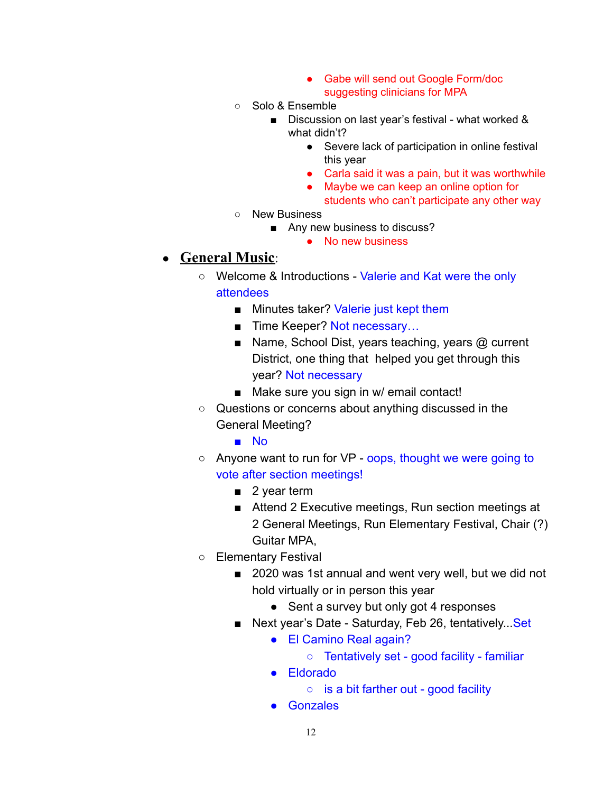- Gabe will send out Google Form/doc suggesting clinicians for MPA
- Solo & Ensemble
	- Discussion on last year's festival what worked & what didn't?
		- Severe lack of participation in online festival this year
		- Carla said it was a pain, but it was worthwhile
		- Maybe we can keep an online option for
			- students who can't participate any other way
- New Business
	- Any new business to discuss?
		- No new business

#### ● **General Music**:

- Welcome & Introductions Valerie and Kat were the only attendees
	- Minutes taker? Valerie just kept them
	- Time Keeper? Not necessary...
	- Name, School Dist, years teaching, years @ current District, one thing that helped you get through this year? Not necessary
	- Make sure you sign in w/ email contact!
- Questions or concerns about anything discussed in the General Meeting?
	- No
- Anyone want to run for VP oops, thought we were going to vote after section meetings!
	- 2 year term
	- Attend 2 Executive meetings, Run section meetings at 2 General Meetings, Run Elementary Festival, Chair (?) Guitar MPA,
- Elementary Festival
	- 2020 was 1st annual and went very well, but we did not hold virtually or in person this year
		- Sent a survey but only got 4 responses
	- Next year's Date Saturday, Feb 26, tentatively... Set
		- El Camino Real again?
			- Tentatively set good facility familiar
		- Eldorado
			- is a bit farther out good facility
		- Gonzales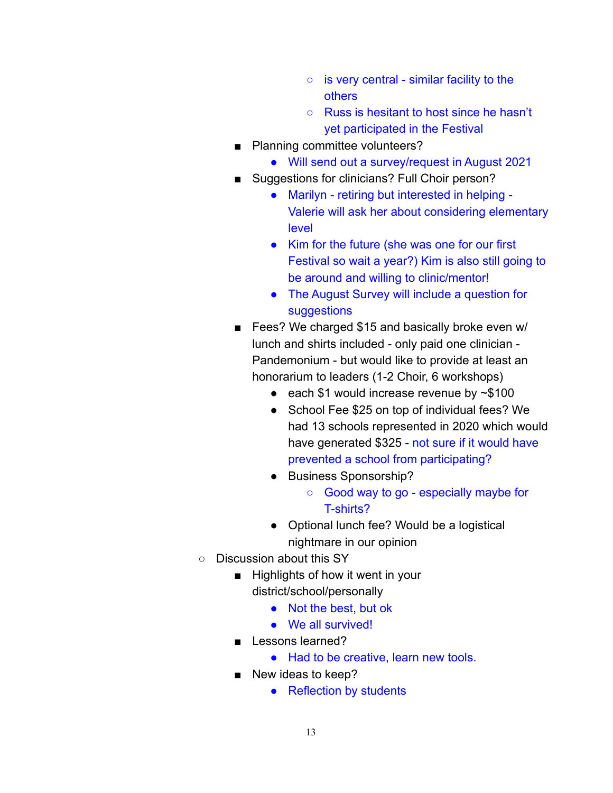- $\circ$  is very central similar facility to the others
- Russ is hesitant to host since he hasn't yet participated in the Festival
- Planning committee volunteers?
	- Will send out a survey/request in August 2021
- Suggestions for clinicians? Full Choir person?
	- Marilyn retiring but interested in helping Valerie will ask her about considering elementary level
	- Kim for the future (she was one for our first Festival so wait a year?) Kim is also still going to be around and willing to clinic/mentor!
	- The August Survey will include a question for **suggestions**
- Fees? We charged \$15 and basically broke even w/ lunch and shirts included - only paid one clinician - Pandemonium - but would like to provide at least an honorarium to leaders (1-2 Choir, 6 workshops)
	- $\bullet$  each \$1 would increase revenue by  $\sim$  \$100
	- School Fee \$25 on top of individual fees? We had 13 schools represented in 2020 which would have generated \$325 - not sure if it would have prevented a school from participating?
	- Business Sponsorship?
		- Good way to go especially maybe for T-shirts?
	- Optional lunch fee? Would be a logistical nightmare in our opinion
- Discussion about this SY
	- Highlights of how it went in your district/school/personally
		- Not the best, but ok
		- We all survived!
	- Lessons learned?
		- Had to be creative, learn new tools.
	- New ideas to keep?
		- Reflection by students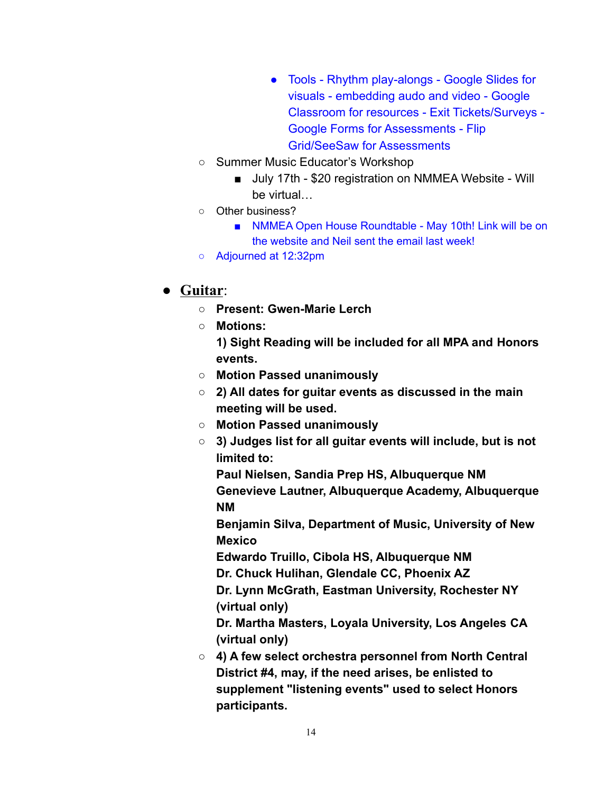- Tools Rhythm play-alongs Google Slides for visuals - embedding audo and video - Google Classroom for resources - Exit Tickets/Surveys - Google Forms for Assessments - Flip Grid/SeeSaw for Assessments
- Summer Music Educator's Workshop
	- July 17th \$20 registration on NMMEA Website Will be virtual…
- Other business?
	- NMMEA Open House Roundtable May 10th! Link will be on the website and Neil sent the email last week!
- Adjourned at 12:32pm

# ● **Guitar**:

- **○ Present: Gwen-Marie Lerch**
- **○ Motions:**
	- **1) Sight Reading will be included for all MPA and Honors events.**
- **○ Motion Passed unanimously**
- **○ 2) All dates for guitar events as discussed in the main meeting will be used.**
- **○ Motion Passed unanimously**
- **○ 3) Judges list for all guitar events will include, but is not limited to:**
	- **Paul Nielsen, Sandia Prep HS, Albuquerque NM Genevieve Lautner, Albuquerque Academy, Albuquerque NM**

**Benjamin Silva, Department of Music, University of New Mexico**

**Edwardo Truillo, Cibola HS, Albuquerque NM**

**Dr. Chuck Hulihan, Glendale CC, Phoenix AZ**

**Dr. Lynn McGrath, Eastman University, Rochester NY (virtual only)**

**Dr. Martha Masters, Loyala University, Los Angeles CA (virtual only)**

**○ 4) A few select orchestra personnel from North Central District #4, may, if the need arises, be enlisted to supplement "listening events" used to select Honors participants.**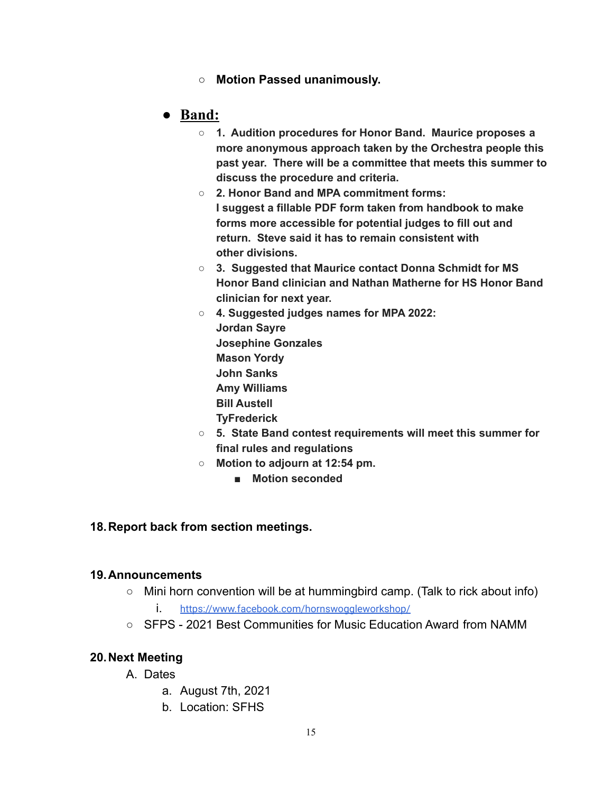**○ Motion Passed unanimously.**

# **● Band:**

- **○ 1. Audition procedures for Honor Band. Maurice proposes a more anonymous approach taken by the Orchestra people this past year. There will be a committee that meets this summer to discuss the procedure and criteria.**
- **○ 2. Honor Band and MPA commitment forms: I suggest a fillable PDF form taken from handbook to make forms more accessible for potential judges to fill out and return. Steve said it has to remain consistent with other divisions.**
- **○ 3. Suggested that Maurice contact Donna Schmidt for MS Honor Band clinician and Nathan Matherne for HS Honor Band clinician for next year.**
- **○ 4. Suggested judges names for MPA 2022: Jordan Sayre Josephine Gonzales Mason Yordy John Sanks Amy Williams Bill Austell TyFrederick**
- **○ 5. State Band contest requirements will meet this summer for final rules and regulations**
- **○ Motion to adjourn at 12:54 pm.**
	- **■ Motion seconded**

#### **18.Report back from section meetings.**

#### **19.Announcements**

- Mini horn convention will be at hummingbird camp. (Talk to rick about info)
	- i. https://www.facebook.com/hornswoggleworkshop/
- SFPS 2021 Best Communities for Music Education Award from NAMM

#### **20.Next Meeting**

- A. Dates
	- a. August 7th, 2021
	- b. Location: SFHS